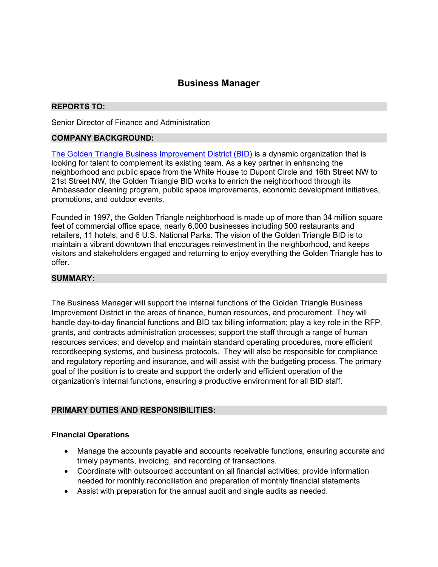# Business Manager

### REPORTS TO:

Senior Director of Finance and Administration

# COMPANY BACKGROUND:

The Golden Triangle Business Improvement District (BID) is a dynamic organization that is looking for talent to complement its existing team. As a key partner in enhancing the neighborhood and public space from the White House to Dupont Circle and 16th Street NW to 21st Street NW, the Golden Triangle BID works to enrich the neighborhood through its Ambassador cleaning program, public space improvements, economic development initiatives, promotions, and outdoor events.

Founded in 1997, the Golden Triangle neighborhood is made up of more than 34 million square feet of commercial office space, nearly 6,000 businesses including 500 restaurants and retailers, 11 hotels, and 6 U.S. National Parks. The vision of the Golden Triangle BID is to maintain a vibrant downtown that encourages reinvestment in the neighborhood, and keeps visitors and stakeholders engaged and returning to enjoy everything the Golden Triangle has to offer.

#### SUMMARY:

The Business Manager will support the internal functions of the Golden Triangle Business Improvement District in the areas of finance, human resources, and procurement. They will handle day-to-day financial functions and BID tax billing information; play a key role in the RFP, grants, and contracts administration processes; support the staff through a range of human resources services; and develop and maintain standard operating procedures, more efficient recordkeeping systems, and business protocols. They will also be responsible for compliance and regulatory reporting and insurance, and will assist with the budgeting process. The primary goal of the position is to create and support the orderly and efficient operation of the organization's internal functions, ensuring a productive environment for all BID staff.

## PRIMARY DUTIES AND RESPONSIBILITIES:

#### Financial Operations

- Manage the accounts payable and accounts receivable functions, ensuring accurate and timely payments, invoicing, and recording of transactions.
- Coordinate with outsourced accountant on all financial activities; provide information needed for monthly reconciliation and preparation of monthly financial statements
- Assist with preparation for the annual audit and single audits as needed.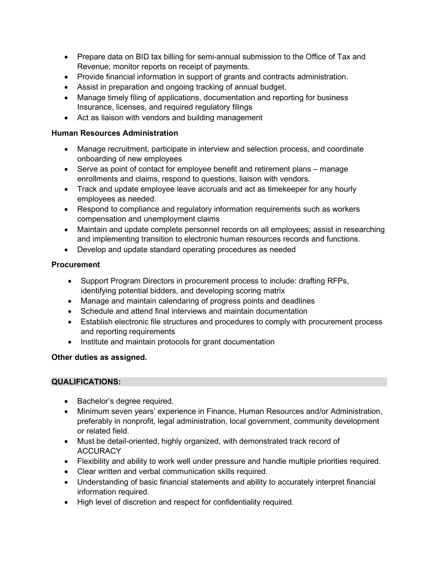- Prepare data on BID tax billing for semi-annual submission to the Office of Tax and Revenue; monitor reports on receipt of payments.
- Provide financial information in support of grants and contracts administration.
- Assist in preparation and ongoing tracking of annual budget.
- Manage timely filing of applications, documentation and reporting for business Insurance, licenses, and required regulatory filings
- Act as liaison with vendors and building management

# Human Resources Administration

- Manage recruitment, participate in interview and selection process, and coordinate onboarding of new employees
- Serve as point of contact for employee benefit and retirement plans manage enrollments and claims, respond to questions, liaison with vendors.
- Track and update employee leave accruals and act as timekeeper for any hourly employees as needed.
- Respond to compliance and regulatory information requirements such as workers compensation and unemployment claims
- Maintain and update complete personnel records on all employees; assist in researching and implementing transition to electronic human resources records and functions.
- Develop and update standard operating procedures as needed

# Procurement

- Support Program Directors in procurement process to include: drafting RFPs, identifying potential bidders, and developing scoring matrix
- Manage and maintain calendaring of progress points and deadlines
- Schedule and attend final interviews and maintain documentation
- Establish electronic file structures and procedures to comply with procurement process and reporting requirements
- Institute and maintain protocols for grant documentation

# Other duties as assigned.

## QUALIFICATIONS:

- Bachelor's degree required.
- Minimum seven years' experience in Finance, Human Resources and/or Administration, preferably in nonprofit, legal administration, local government, community development or related field.
- Must be detail-oriented, highly organized, with demonstrated track record of **ACCURACY**
- Flexibility and ability to work well under pressure and handle multiple priorities required.
- Clear written and verbal communication skills required.
- Understanding of basic financial statements and ability to accurately interpret financial information required.
- High level of discretion and respect for confidentiality required.